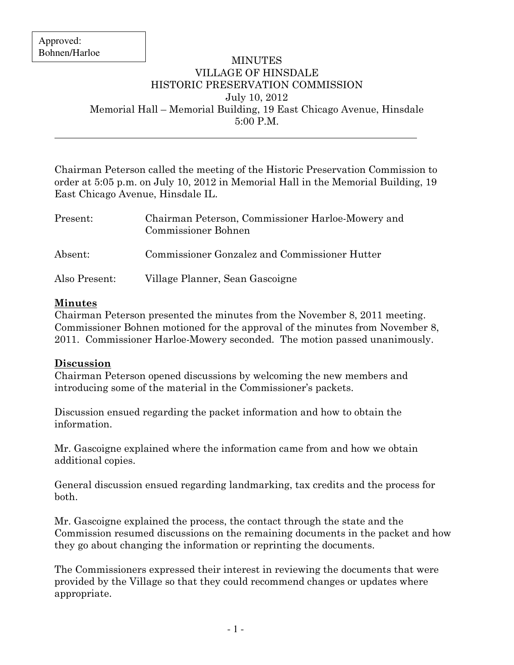$\overline{a}$ 

## MINUTES VILLAGE OF HINSDALE HISTORIC PRESERVATION COMMISSION July 10, 2012 Memorial Hall – Memorial Building, 19 East Chicago Avenue, Hinsdale 5:00 P.M.

Chairman Peterson called the meeting of the Historic Preservation Commission to order at 5:05 p.m. on July 10, 2012 in Memorial Hall in the Memorial Building, 19 East Chicago Avenue, Hinsdale IL.

| Present:      | Chairman Peterson, Commissioner Harloe-Mowery and<br><b>Commissioner Bohnen</b> |
|---------------|---------------------------------------------------------------------------------|
| Absent:       | Commissioner Gonzalez and Commissioner Hutter                                   |
| Also Present: | Village Planner, Sean Gascoigne                                                 |

## Minutes

Chairman Peterson presented the minutes from the November 8, 2011 meeting. Commissioner Bohnen motioned for the approval of the minutes from November 8, 2011. Commissioner Harloe-Mowery seconded. The motion passed unanimously.

## Discussion

Chairman Peterson opened discussions by welcoming the new members and introducing some of the material in the Commissioner's packets.

Discussion ensued regarding the packet information and how to obtain the information.

Mr. Gascoigne explained where the information came from and how we obtain additional copies.

General discussion ensued regarding landmarking, tax credits and the process for both.

Mr. Gascoigne explained the process, the contact through the state and the Commission resumed discussions on the remaining documents in the packet and how they go about changing the information or reprinting the documents.

The Commissioners expressed their interest in reviewing the documents that were provided by the Village so that they could recommend changes or updates where appropriate.